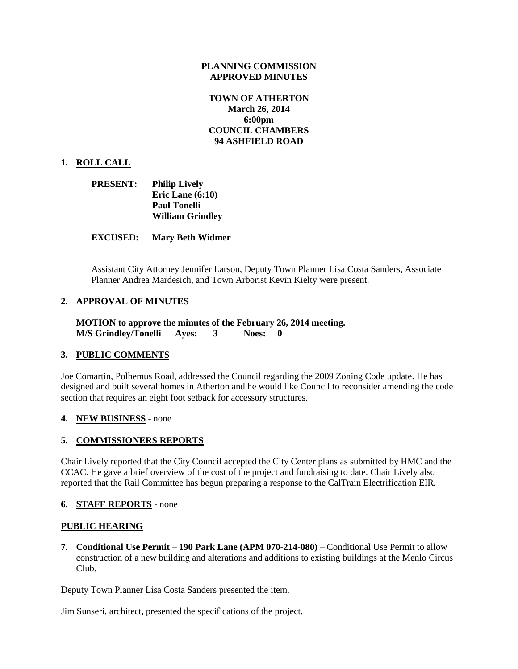## **PLANNING COMMISSION APPROVED MINUTES**

# **TOWN OF ATHERTON March 26, 2014 6:00pm COUNCIL CHAMBERS 94 ASHFIELD ROAD**

## **1. ROLL CALL**

| <b>PRESENT:</b> | <b>Philip Lively</b>    |
|-----------------|-------------------------|
|                 | Eric Lane $(6:10)$      |
|                 | <b>Paul Tonelli</b>     |
|                 | <b>William Grindley</b> |

#### **EXCUSED: Mary Beth Widmer**

Assistant City Attorney Jennifer Larson, Deputy Town Planner Lisa Costa Sanders, Associate Planner Andrea Mardesich, and Town Arborist Kevin Kielty were present.

## **2. APPROVAL OF MINUTES**

**MOTION to approve the minutes of the February 26, 2014 meeting. M/S Grindley/Tonelli Ayes: 3 Noes: 0**

#### **3. PUBLIC COMMENTS**

Joe Comartin, Polhemus Road, addressed the Council regarding the 2009 Zoning Code update. He has designed and built several homes in Atherton and he would like Council to reconsider amending the code section that requires an eight foot setback for accessory structures.

#### **4. NEW BUSINESS** - none

#### **5. COMMISSIONERS REPORTS**

Chair Lively reported that the City Council accepted the City Center plans as submitted by HMC and the CCAC. He gave a brief overview of the cost of the project and fundraising to date. Chair Lively also reported that the Rail Committee has begun preparing a response to the CalTrain Electrification EIR.

#### **6. STAFF REPORTS** - none

#### **PUBLIC HEARING**

**7. Conditional Use Permit – 190 Park Lane (APM 070-214-080) –** Conditional Use Permit to allow construction of a new building and alterations and additions to existing buildings at the Menlo Circus Club.

Deputy Town Planner Lisa Costa Sanders presented the item.

Jim Sunseri, architect, presented the specifications of the project.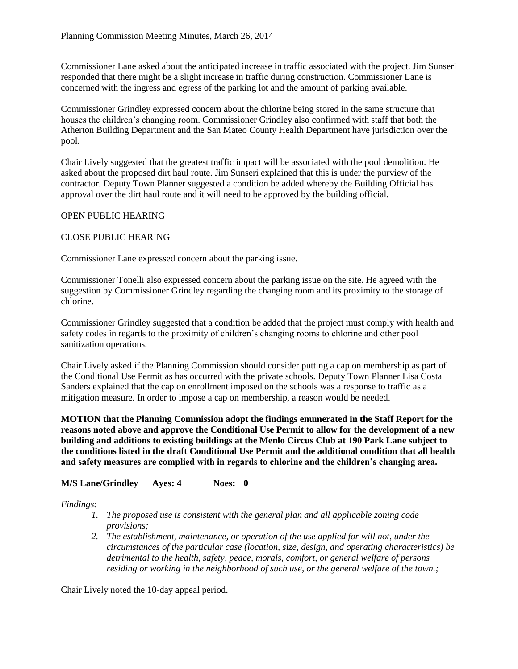Commissioner Lane asked about the anticipated increase in traffic associated with the project. Jim Sunseri responded that there might be a slight increase in traffic during construction. Commissioner Lane is concerned with the ingress and egress of the parking lot and the amount of parking available.

Commissioner Grindley expressed concern about the chlorine being stored in the same structure that houses the children's changing room. Commissioner Grindley also confirmed with staff that both the Atherton Building Department and the San Mateo County Health Department have jurisdiction over the pool.

Chair Lively suggested that the greatest traffic impact will be associated with the pool demolition. He asked about the proposed dirt haul route. Jim Sunseri explained that this is under the purview of the contractor. Deputy Town Planner suggested a condition be added whereby the Building Official has approval over the dirt haul route and it will need to be approved by the building official.

## OPEN PUBLIC HEARING

## CLOSE PUBLIC HEARING

Commissioner Lane expressed concern about the parking issue.

Commissioner Tonelli also expressed concern about the parking issue on the site. He agreed with the suggestion by Commissioner Grindley regarding the changing room and its proximity to the storage of chlorine.

Commissioner Grindley suggested that a condition be added that the project must comply with health and safety codes in regards to the proximity of children's changing rooms to chlorine and other pool sanitization operations.

Chair Lively asked if the Planning Commission should consider putting a cap on membership as part of the Conditional Use Permit as has occurred with the private schools. Deputy Town Planner Lisa Costa Sanders explained that the cap on enrollment imposed on the schools was a response to traffic as a mitigation measure. In order to impose a cap on membership, a reason would be needed.

**MOTION that the Planning Commission adopt the findings enumerated in the Staff Report for the reasons noted above and approve the Conditional Use Permit to allow for the development of a new building and additions to existing buildings at the Menlo Circus Club at 190 Park Lane subject to the conditions listed in the draft Conditional Use Permit and the additional condition that all health and safety measures are complied with in regards to chlorine and the children's changing area.**

## **M/S Lane/Grindley Ayes: 4 Noes: 0**

*Findings:*

- *1. The proposed use is consistent with the general plan and all applicable zoning code provisions;*
- *2. The establishment, maintenance, or operation of the use applied for will not, under the circumstances of the particular case (location, size, design, and operating characteristics) be detrimental to the health, safety, peace, morals, comfort, or general welfare of persons residing or working in the neighborhood of such use, or the general welfare of the town.;*

Chair Lively noted the 10-day appeal period.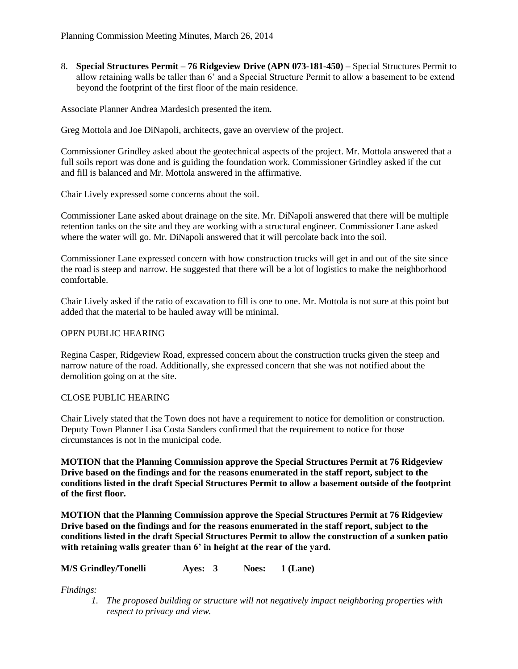8. **Special Structures Permit – 76 Ridgeview Drive (APN 073-181-450) –** Special Structures Permit to allow retaining walls be taller than 6' and a Special Structure Permit to allow a basement to be extend beyond the footprint of the first floor of the main residence.

Associate Planner Andrea Mardesich presented the item.

Greg Mottola and Joe DiNapoli, architects, gave an overview of the project.

Commissioner Grindley asked about the geotechnical aspects of the project. Mr. Mottola answered that a full soils report was done and is guiding the foundation work. Commissioner Grindley asked if the cut and fill is balanced and Mr. Mottola answered in the affirmative.

Chair Lively expressed some concerns about the soil.

Commissioner Lane asked about drainage on the site. Mr. DiNapoli answered that there will be multiple retention tanks on the site and they are working with a structural engineer. Commissioner Lane asked where the water will go. Mr. DiNapoli answered that it will percolate back into the soil.

Commissioner Lane expressed concern with how construction trucks will get in and out of the site since the road is steep and narrow. He suggested that there will be a lot of logistics to make the neighborhood comfortable.

Chair Lively asked if the ratio of excavation to fill is one to one. Mr. Mottola is not sure at this point but added that the material to be hauled away will be minimal.

## OPEN PUBLIC HEARING

Regina Casper, Ridgeview Road, expressed concern about the construction trucks given the steep and narrow nature of the road. Additionally, she expressed concern that she was not notified about the demolition going on at the site.

## CLOSE PUBLIC HEARING

Chair Lively stated that the Town does not have a requirement to notice for demolition or construction. Deputy Town Planner Lisa Costa Sanders confirmed that the requirement to notice for those circumstances is not in the municipal code.

**MOTION that the Planning Commission approve the Special Structures Permit at 76 Ridgeview Drive based on the findings and for the reasons enumerated in the staff report, subject to the conditions listed in the draft Special Structures Permit to allow a basement outside of the footprint of the first floor.** 

**MOTION that the Planning Commission approve the Special Structures Permit at 76 Ridgeview Drive based on the findings and for the reasons enumerated in the staff report, subject to the conditions listed in the draft Special Structures Permit to allow the construction of a sunken patio with retaining walls greater than 6' in height at the rear of the yard.**

**M/S Grindley/Tonelli Ayes: 3 Noes: 1 (Lane)**

*Findings:*

*1. The proposed building or structure will not negatively impact neighboring properties with respect to privacy and view.*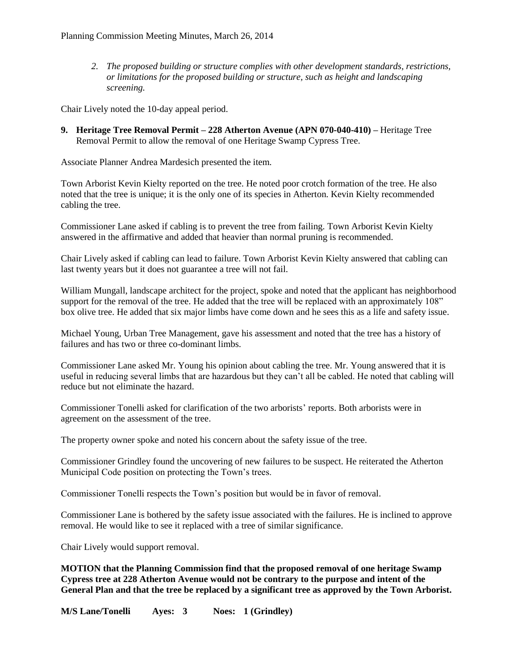*2. The proposed building or structure complies with other development standards, restrictions, or limitations for the proposed building or structure, such as height and landscaping screening.*

Chair Lively noted the 10-day appeal period.

**9. Heritage Tree Removal Permit – 228 Atherton Avenue (APN 070-040-410) –** Heritage Tree Removal Permit to allow the removal of one Heritage Swamp Cypress Tree.

Associate Planner Andrea Mardesich presented the item.

Town Arborist Kevin Kielty reported on the tree. He noted poor crotch formation of the tree. He also noted that the tree is unique; it is the only one of its species in Atherton. Kevin Kielty recommended cabling the tree.

Commissioner Lane asked if cabling is to prevent the tree from failing. Town Arborist Kevin Kielty answered in the affirmative and added that heavier than normal pruning is recommended.

Chair Lively asked if cabling can lead to failure. Town Arborist Kevin Kielty answered that cabling can last twenty years but it does not guarantee a tree will not fail.

William Mungall, landscape architect for the project, spoke and noted that the applicant has neighborhood support for the removal of the tree. He added that the tree will be replaced with an approximately 108" box olive tree. He added that six major limbs have come down and he sees this as a life and safety issue.

Michael Young, Urban Tree Management, gave his assessment and noted that the tree has a history of failures and has two or three co-dominant limbs.

Commissioner Lane asked Mr. Young his opinion about cabling the tree. Mr. Young answered that it is useful in reducing several limbs that are hazardous but they can't all be cabled. He noted that cabling will reduce but not eliminate the hazard.

Commissioner Tonelli asked for clarification of the two arborists' reports. Both arborists were in agreement on the assessment of the tree.

The property owner spoke and noted his concern about the safety issue of the tree.

Commissioner Grindley found the uncovering of new failures to be suspect. He reiterated the Atherton Municipal Code position on protecting the Town's trees.

Commissioner Tonelli respects the Town's position but would be in favor of removal.

Commissioner Lane is bothered by the safety issue associated with the failures. He is inclined to approve removal. He would like to see it replaced with a tree of similar significance.

Chair Lively would support removal.

**MOTION that the Planning Commission find that the proposed removal of one heritage Swamp Cypress tree at 228 Atherton Avenue would not be contrary to the purpose and intent of the General Plan and that the tree be replaced by a significant tree as approved by the Town Arborist.**

**M/S Lane/Tonelli Ayes: 3 Noes: 1 (Grindley)**